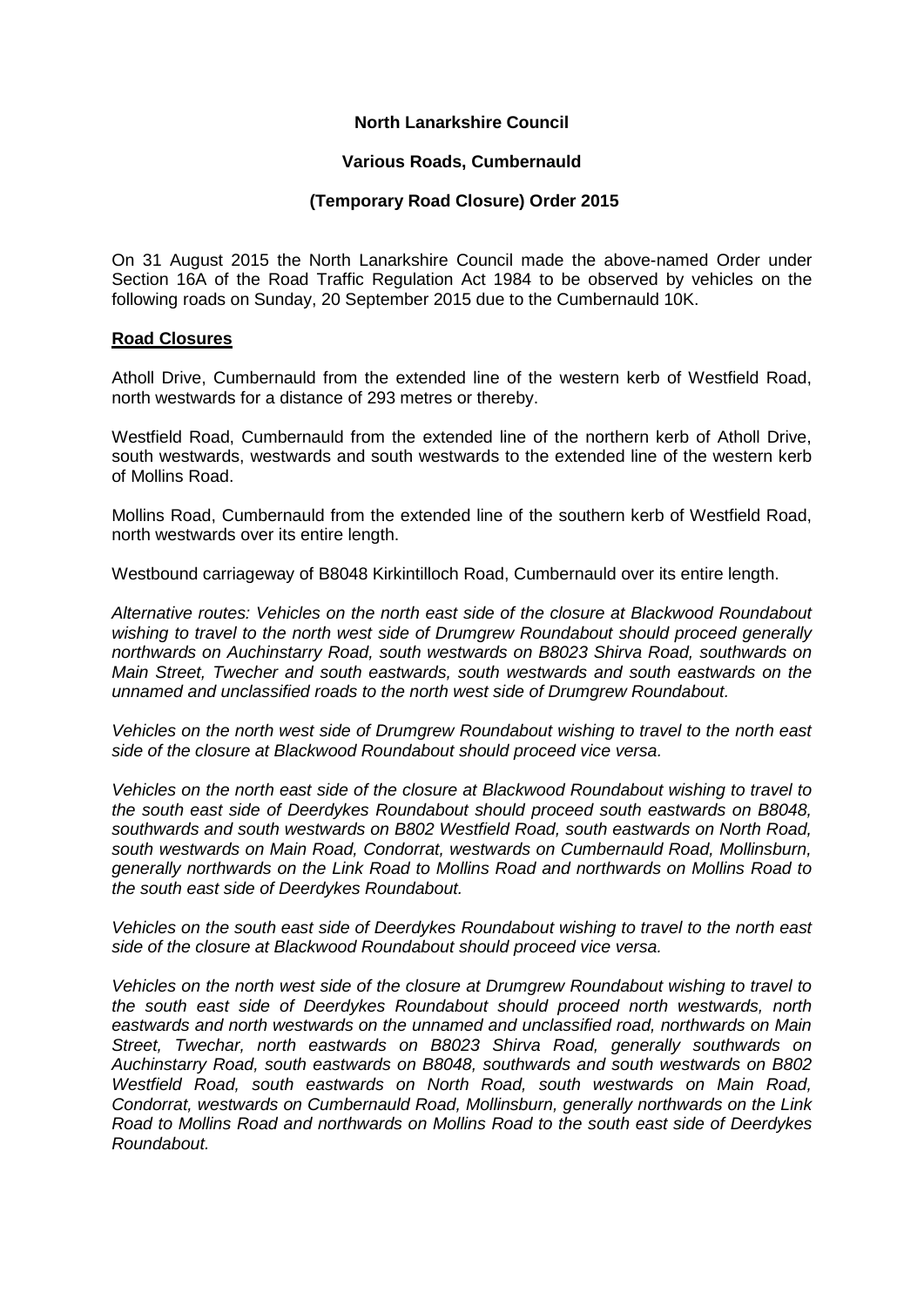### **North Lanarkshire Council**

#### **Various Roads, Cumbernauld**

# **(Temporary Road Closure) Order 2015**

On 31 August 2015 the North Lanarkshire Council made the above-named Order under Section 16A of the Road Traffic Regulation Act 1984 to be observed by vehicles on the following roads on Sunday, 20 September 2015 due to the Cumbernauld 10K.

### **Road Closures**

Atholl Drive, Cumbernauld from the extended line of the western kerb of Westfield Road, north westwards for a distance of 293 metres or thereby.

Westfield Road, Cumbernauld from the extended line of the northern kerb of Atholl Drive, south westwards, westwards and south westwards to the extended line of the western kerb of Mollins Road.

Mollins Road, Cumbernauld from the extended line of the southern kerb of Westfield Road, north westwards over its entire length.

Westbound carriageway of B8048 Kirkintilloch Road, Cumbernauld over its entire length.

*Alternative routes: Vehicles on the north east side of the closure at Blackwood Roundabout wishing to travel to the north west side of Drumgrew Roundabout should proceed generally northwards on Auchinstarry Road, south westwards on B8023 Shirva Road, southwards on Main Street, Twecher and south eastwards, south westwards and south eastwards on the unnamed and unclassified roads to the north west side of Drumgrew Roundabout.*

*Vehicles on the north west side of Drumgrew Roundabout wishing to travel to the north east side of the closure at Blackwood Roundabout should proceed vice versa.*

*Vehicles on the north east side of the closure at Blackwood Roundabout wishing to travel to the south east side of Deerdykes Roundabout should proceed south eastwards on B8048, southwards and south westwards on B802 Westfield Road, south eastwards on North Road, south westwards on Main Road, Condorrat, westwards on Cumbernauld Road, Mollinsburn, generally northwards on the Link Road to Mollins Road and northwards on Mollins Road to the south east side of Deerdykes Roundabout.*

*Vehicles on the south east side of Deerdykes Roundabout wishing to travel to the north east side of the closure at Blackwood Roundabout should proceed vice versa.*

*Vehicles on the north west side of the closure at Drumgrew Roundabout wishing to travel to the south east side of Deerdykes Roundabout should proceed north westwards, north eastwards and north westwards on the unnamed and unclassified road, northwards on Main Street, Twechar, north eastwards on B8023 Shirva Road, generally southwards on Auchinstarry Road, south eastwards on B8048, southwards and south westwards on B802 Westfield Road, south eastwards on North Road, south westwards on Main Road, Condorrat, westwards on Cumbernauld Road, Mollinsburn, generally northwards on the Link Road to Mollins Road and northwards on Mollins Road to the south east side of Deerdykes Roundabout.*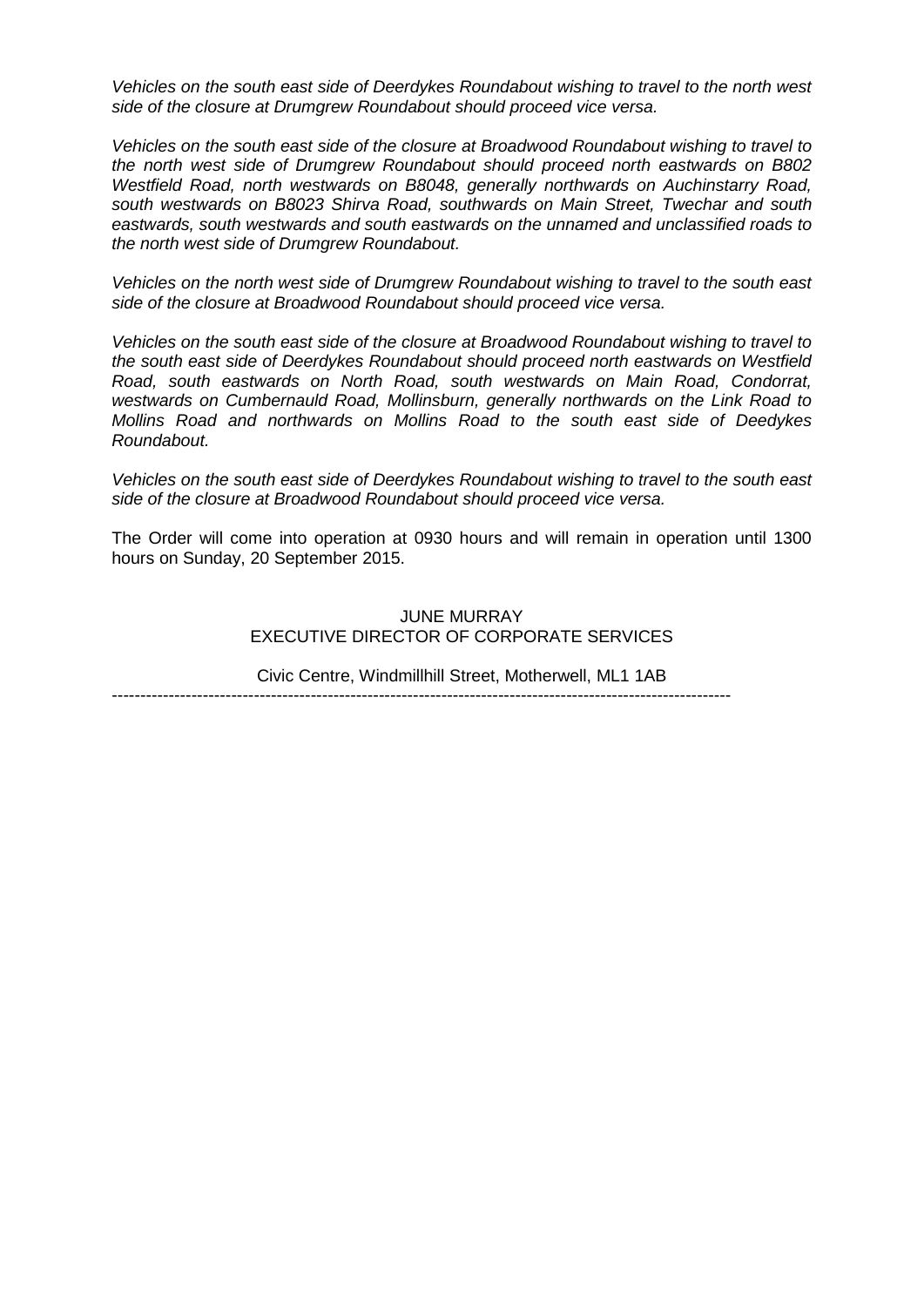*Vehicles on the south east side of Deerdykes Roundabout wishing to travel to the north west side of the closure at Drumgrew Roundabout should proceed vice versa.*

*Vehicles on the south east side of the closure at Broadwood Roundabout wishing to travel to the north west side of Drumgrew Roundabout should proceed north eastwards on B802 Westfield Road, north westwards on B8048, generally northwards on Auchinstarry Road, south westwards on B8023 Shirva Road, southwards on Main Street, Twechar and south eastwards, south westwards and south eastwards on the unnamed and unclassified roads to the north west side of Drumgrew Roundabout.*

*Vehicles on the north west side of Drumgrew Roundabout wishing to travel to the south east side of the closure at Broadwood Roundabout should proceed vice versa.*

*Vehicles on the south east side of the closure at Broadwood Roundabout wishing to travel to the south east side of Deerdykes Roundabout should proceed north eastwards on Westfield Road, south eastwards on North Road, south westwards on Main Road, Condorrat, westwards on Cumbernauld Road, Mollinsburn, generally northwards on the Link Road to Mollins Road and northwards on Mollins Road to the south east side of Deedykes Roundabout.*

*Vehicles on the south east side of Deerdykes Roundabout wishing to travel to the south east side of the closure at Broadwood Roundabout should proceed vice versa.* 

The Order will come into operation at 0930 hours and will remain in operation until 1300 hours on Sunday, 20 September 2015.

> JUNE MURRAY EXECUTIVE DIRECTOR OF CORPORATE SERVICES

Civic Centre, Windmillhill Street, Motherwell, ML1 1AB

-------------------------------------------------------------------------------------------------------------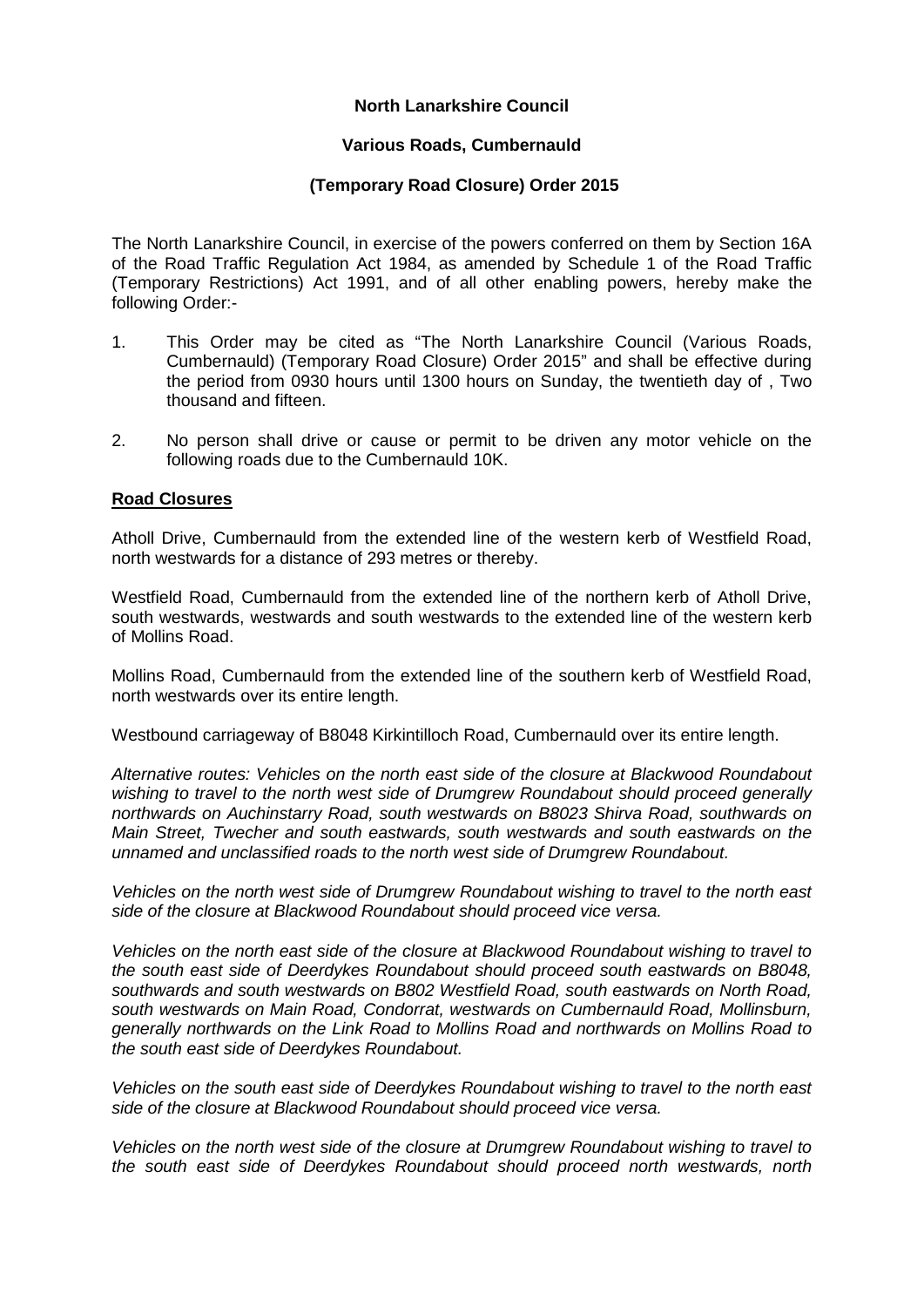# **North Lanarkshire Council**

## **Various Roads, Cumbernauld**

### **(Temporary Road Closure) Order 2015**

The North Lanarkshire Council, in exercise of the powers conferred on them by Section 16A of the Road Traffic Regulation Act 1984, as amended by Schedule 1 of the Road Traffic (Temporary Restrictions) Act 1991, and of all other enabling powers, hereby make the following Order:-

- 1. This Order may be cited as "The North Lanarkshire Council (Various Roads, Cumbernauld) (Temporary Road Closure) Order 2015" and shall be effective during the period from 0930 hours until 1300 hours on Sunday, the twentieth day of , Two thousand and fifteen.
- 2. No person shall drive or cause or permit to be driven any motor vehicle on the following roads due to the Cumbernauld 10K.

### **Road Closures**

Atholl Drive, Cumbernauld from the extended line of the western kerb of Westfield Road, north westwards for a distance of 293 metres or thereby.

Westfield Road, Cumbernauld from the extended line of the northern kerb of Atholl Drive, south westwards, westwards and south westwards to the extended line of the western kerb of Mollins Road.

Mollins Road, Cumbernauld from the extended line of the southern kerb of Westfield Road, north westwards over its entire length.

Westbound carriageway of B8048 Kirkintilloch Road, Cumbernauld over its entire length.

*Alternative routes: Vehicles on the north east side of the closure at Blackwood Roundabout wishing to travel to the north west side of Drumgrew Roundabout should proceed generally northwards on Auchinstarry Road, south westwards on B8023 Shirva Road, southwards on Main Street, Twecher and south eastwards, south westwards and south eastwards on the unnamed and unclassified roads to the north west side of Drumgrew Roundabout.*

*Vehicles on the north west side of Drumgrew Roundabout wishing to travel to the north east side of the closure at Blackwood Roundabout should proceed vice versa.*

*Vehicles on the north east side of the closure at Blackwood Roundabout wishing to travel to the south east side of Deerdykes Roundabout should proceed south eastwards on B8048, southwards and south westwards on B802 Westfield Road, south eastwards on North Road, south westwards on Main Road, Condorrat, westwards on Cumbernauld Road, Mollinsburn, generally northwards on the Link Road to Mollins Road and northwards on Mollins Road to the south east side of Deerdykes Roundabout.*

*Vehicles on the south east side of Deerdykes Roundabout wishing to travel to the north east side of the closure at Blackwood Roundabout should proceed vice versa.*

*Vehicles on the north west side of the closure at Drumgrew Roundabout wishing to travel to the south east side of Deerdykes Roundabout should proceed north westwards, north*